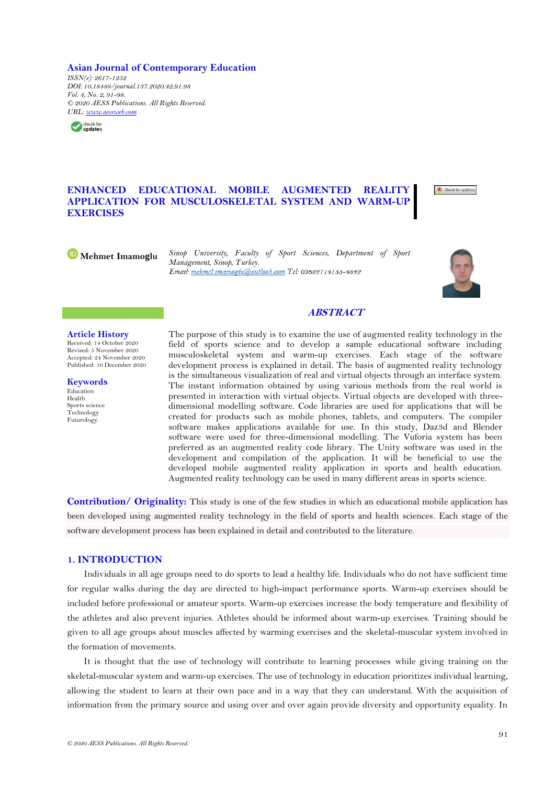**Asian Journal of Contemporary Education** *ISSN(e): 2617-1252 DOI: 10.18488/journal.137.2020.42.91.98 Vol. 4, No. 2, 91-98. © 2020 AESS Publications. All Rights Reserved. URL: [www.aessweb.com](http://www.aessweb.com/)*



# **ENHANCED EDUCATIONAL MOBILE AUGMENTED REALITY APPLICATION FOR MUSCULOSKELETAL SYSTEM AND WARM-UP EXERCISES**



**Mehmet Imamoglu** *Sinop University, Faculty of Sport Sciences, Department of Sport Management, Sinop, Turkey.*



# **ABSTRACT**

#### **Article History**

Received: 14 October 2020 Revised: 5 November 2020 Accepted: 24 November 2020 Published: 10 December 2020

**Keywords** Education Health Sports science Technology Futurology.

The purpose of this study is to examine the use of augmented reality technology in the field of sports science and to develop a sample educational software including musculoskeletal system and warm-up exercises. Each stage of the software development process is explained in detail. The basis of augmented reality technology is the simultaneous visualization of real and virtual objects through an interface system. The instant information obtained by using various methods from the real world is presented in interaction with virtual objects. Virtual objects are developed with threedimensional modelling software. Code libraries are used for applications that will be created for products such as mobile phones, tablets, and computers. The compiler software makes applications available for use. In this study, Daz3d and Blender software were used for three-dimensional modelling. The Vuforia system has been preferred as an augmented reality code library. The Unity software was used in the development and compilation of the application. It will be beneficial to use the developed mobile augmented reality application in sports and health education. Augmented reality technology can be used in many different areas in sports science.

**Contribution/ Originality:** This study is one of the few studies in which an educational mobile application has been developed using augmented reality technology in the field of sports and health sciences. Each stage of the software development process has been explained in detail and contributed to the literature.

## **1. INTRODUCTION**

Individuals in all age groups need to do sports to lead a healthy life. Individuals who do not have sufficient time for regular walks during the day are directed to high-impact performance sports. Warm-up exercises should be included before professional or amateur sports. Warm-up exercises increase the body temperature and flexibility of the athletes and also prevent injuries. Athletes should be informed about warm-up exercises. Training should be given to all age groups about muscles affected by warming exercises and the skeletal-muscular system involved in the formation of movements.

It is thought that the use of technology will contribute to learning processes while giving training on the skeletal-muscular system and warm-up exercises. The use of technology in education prioritizes individual learning, allowing the student to learn at their own pace and in a way that they can understand. With the acquisition of information from the primary source and using over and over again provide diversity and opportunity equality. In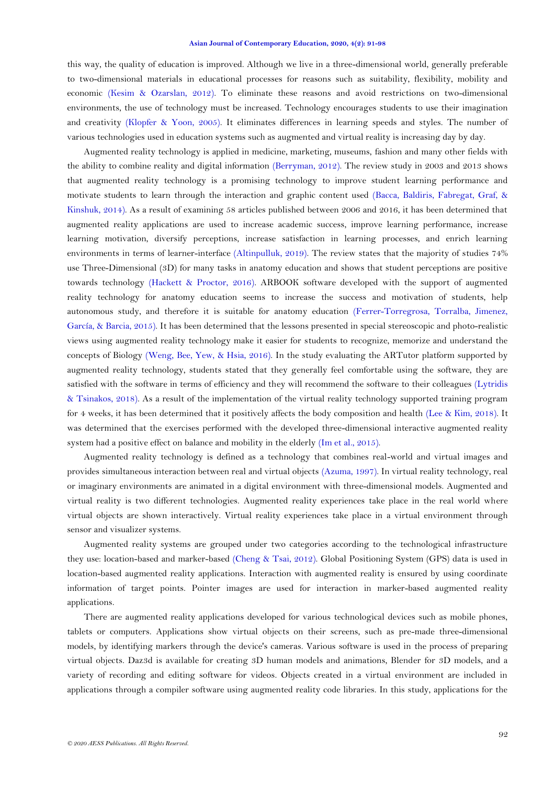#### **Asian Journal of Contemporary Education, 2020, 4(2): 91-98**

this way, the quality of education is improved. Although we live in a three-dimensional world, generally preferable to two-dimensional materials in educational processes for reasons such as suitability, flexibility, mobility and economic [\(Kesim & Ozarslan, 2012\)](#page-6-0). To eliminate these reasons and avoid restrictions on two-dimensional environments, the use of technology must be increased. Technology encourages students to use their imagination and creativity [\(Klopfer & Yoon, 2005\)](#page-6-1). It eliminates differences in learning speeds and styles. The number of various technologies used in education systems such as augmented and virtual reality is increasing day by day.

Augmented reality technology is applied in medicine, marketing, museums, fashion and many other fields with the ability to combine reality and digital information [\(Berryman, 2012\)](#page-6-2). The review study in 2003 and 2013 shows that augmented reality technology is a promising technology to improve student learning performance and motivate students to learn through the interaction and graphic content used [\(Bacca, Baldiris, Fabregat, Graf, &](#page-5-0)  [Kinshuk, 2014\)](#page-5-0). As a result of examining 58 articles published between 2006 and 2016, it has been determined that augmented reality applications are used to increase academic success, improve learning performance, increase learning motivation, diversify perceptions, increase satisfaction in learning processes, and enrich learning environments in terms of learner-interface [\(Altinpulluk, 2019\)](#page-5-0). The review states that the majority of studies 74% use Three-Dimensional (3D) for many tasks in anatomy education and shows that student perceptions are positive towards technology [\(Hackett & Proctor, 2016\)](#page-6-3). ARBOOK software developed with the support of augmented reality technology for anatomy education seems to increase the success and motivation of students, help autonomous study, and therefore it is suitable for anatomy education [\(Ferrer-Torregrosa, Torralba, Jimenez,](#page-6-4)  [García, & Barcia, 2015\)](#page-6-4). It has been determined that the lessons presented in special stereoscopic and photo-realistic views using augmented reality technology make it easier for students to recognize, memorize and understand the concepts of Biology [\(Weng, Bee, Yew, & Hsia, 2016\)](#page-7-0). In the study evaluating the ARTutor platform supported by augmented reality technology, students stated that they generally feel comfortable using the software, they are satisfied with the software in terms of efficiency and they will recommend the software to their colleagues [\(Lytridis](#page-6-5)  [& Tsinakos, 2018\)](#page-6-5). As a result of the implementation of the virtual reality technology supported training program for 4 weeks, it has been determined that it positively affects the body composition and health [\(Lee & Kim, 2018\)](#page-6-6). It was determined that the exercises performed with the developed three-dimensional interactive augmented reality system had a positive effect on balance and mobility in the elderly [\(Im et al., 2015\)](#page-6-7).

Augmented reality technology is defined as a technology that combines real-world and virtual images and provides simultaneous interaction between real and virtual objects [\(Azuma, 1997\)](#page-5-0). In virtual reality technology, real or imaginary environments are animated in a digital environment with three-dimensional models. Augmented and virtual reality is two different technologies. Augmented reality experiences take place in the real world where virtual objects are shown interactively. Virtual reality experiences take place in a virtual environment through sensor and visualizer systems.

Augmented reality systems are grouped under two categories according to the technological infrastructure they use: location-based and marker-based [\(Cheng & Tsai, 2012\)](#page-6-8). Global Positioning System (GPS) data is used in location-based augmented reality applications. Interaction with augmented reality is ensured by using coordinate information of target points. Pointer images are used for interaction in marker-based augmented reality applications.

There are augmented reality applications developed for various technological devices such as mobile phones, tablets or computers. Applications show virtual objects on their screens, such as pre-made three-dimensional models, by identifying markers through the device's cameras. Various software is used in the process of preparing virtual objects. Daz3d is available for creating 3D human models and animations, Blender for 3D models, and a variety of recording and editing software for videos. Objects created in a virtual environment are included in applications through a compiler software using augmented reality code libraries. In this study, applications for the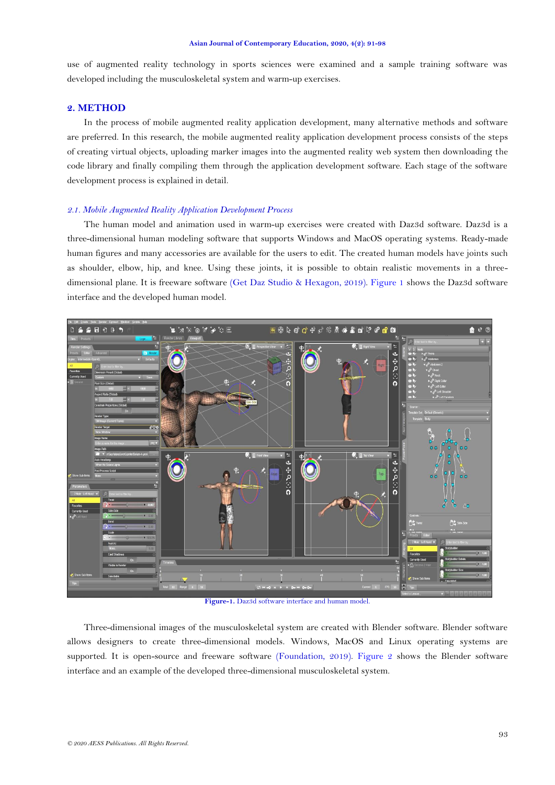use of augmented reality technology in sports sciences were examined and a sample training software was developed including the musculoskeletal system and warm-up exercises.

#### **2. METHOD**

In the process of mobile augmented reality application development, many alternative methods and software are preferred. In this research, the mobile augmented reality application development process consists of the steps of creating virtual objects, uploading marker images into the augmented reality web system then downloading the code library and finally compiling them through the application development software. Each stage of the software development process is explained in detail.

## *2.1. Mobile Augmented Reality Application Development Process*

The human model and animation used in warm-up exercises were created with Daz3d software. Daz3d is a three-dimensional human modeling software that supports Windows and MacOS operating systems. Ready-made human figures and many accessories are available for the users to edit. The created human models have joints such as shoulder, elbow, hip, and knee. Using these joints, it is possible to obtain realistic movements in a threedimensional plane. It is freeware software [\(Get Daz Studio & Hexagon, 2019\)](#page-6-9). [Figure 1](#page-2-0) shows the Daz3d software interface and the developed human model.



**Figure-1.** Daz3d software interface and human model.

<span id="page-2-0"></span>Three-dimensional images of the musculoskeletal system are created with Blender software. Blender software allows designers to create three-dimensional models. Windows, MacOS and Linux operating systems are supported. It is open-source and freeware software [\(Foundation, 2019\)](#page-6-10). [Figure 2](#page-3-0) shows the Blender software interface and an example of the developed three-dimensional musculoskeletal system.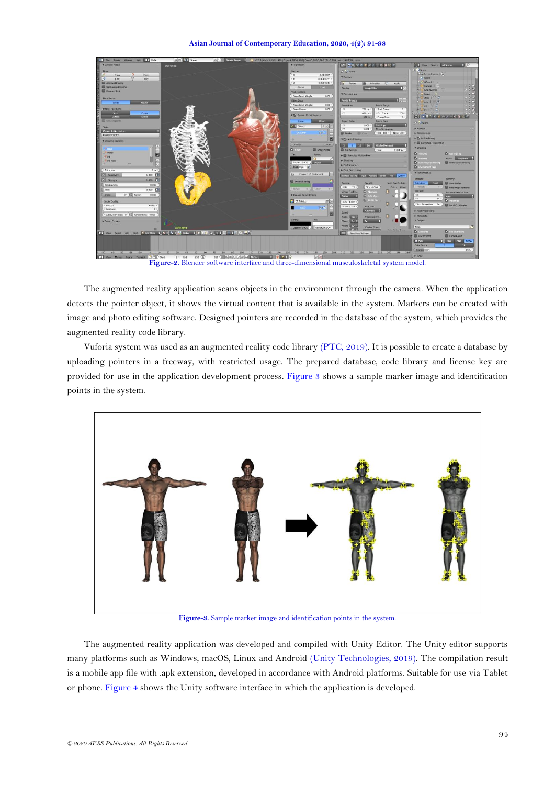

**Figure-2.** Blender software interface and three-dimensional musculoskeletal system model.

<span id="page-3-0"></span>The augmented reality application scans objects in the environment through the camera. When the application detects the pointer object, it shows the virtual content that is available in the system. Markers can be created with image and photo editing software. Designed pointers are recorded in the database of the system, which provides the augmented reality code library.

Vuforia system was used as an augmented reality code library [\(PTC, 2019\)](#page-6-5). It is possible to create a database by uploading pointers in a freeway, with restricted usage. The prepared database, code library and license key are provided for use in the application development process. [Figure 3](#page-3-1) shows a sample marker image and identification points in the system.



**Figure-3.** Sample marker image and identification points in the system.

<span id="page-3-1"></span>The augmented reality application was developed and compiled with Unity Editor. The Unity editor supports many platforms such as Windows, macOS, Linux and Android [\(Unity Technologies, 2019\)](#page-7-1). The compilation result is a mobile app file with .apk extension, developed in accordance with Android platforms. Suitable for use via Tablet or phone[. Figure 4](#page-4-0) shows the Unity software interface in which the application is developed.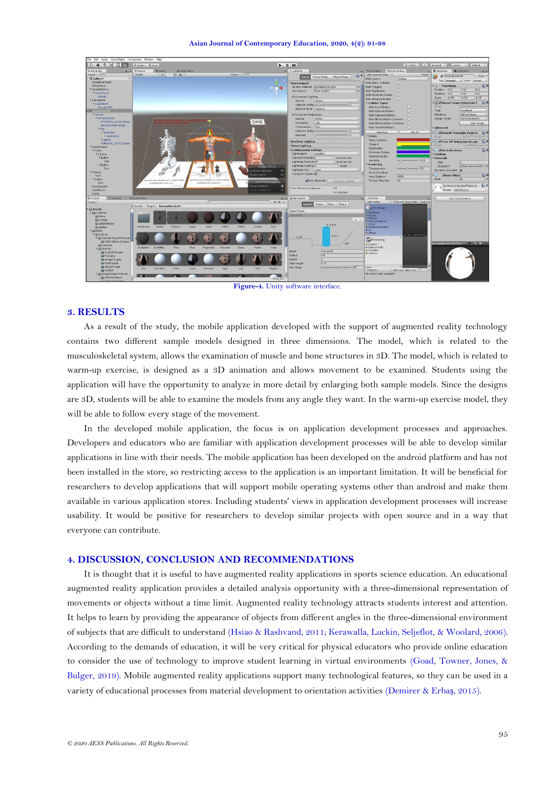| File Edit Assets GameObject Component Window Help |                       |                                           |                       |                                      |                              |                                      |                                |                                              |                                            |                                     |                                                                 |
|---------------------------------------------------|-----------------------|-------------------------------------------|-----------------------|--------------------------------------|------------------------------|--------------------------------------|--------------------------------|----------------------------------------------|--------------------------------------------|-------------------------------------|-----------------------------------------------------------------|
| $0 + S \times E$                                  | #Center Blocal        |                                           |                       |                                      |                              | $\blacktriangleright$ $\blacksquare$ |                                |                                              |                                            | C Collab -     △   Account -        | Layers . Default .                                              |
| Ill Hierarchy<br><b>M +21</b>                     | <b>Illi</b> Scene     | C Game                                    | <b>El Asset Store</b> |                                      |                              |                                      | E Lighting                     |                                              | - <sup>9</sup> Animator Physics Debug      |                                     | <b>IS</b> Occlusion<br>O Inspector                              |
| Create - CrAll                                    | Sheded                | $\sim$ 20 $\approx$ 40 $\Box$             |                       |                                      | Girmos - CrA                 |                                      | Scene                          | 日 0.<br>Global Maps Object Maps              | Hide Selected Items #                      | Reset                               | Isinmattareketi<br>Static *                                     |
| $\mathcal{C}$ Sahnel*<br>$+1$                     |                       |                                           |                       |                                      |                              |                                      |                                |                                              | <b>Hide Layers</b>                         | <b>Nathing</b>                      | Tag Untagged 1 Layer Default                                    |
| Directional Light                                 |                       |                                           |                       |                                      |                              |                                      | Environment                    |                                              | <b>Hide Static Coliders</b>                | o                                   |                                                                 |
| ARCamera                                          |                       |                                           |                       |                                      |                              |                                      |                                | Skybox Material WDefault-Skybox<br>$\circ$   | <b>Hide Triggers</b>                       |                                     | ۵٥.<br>TA Transform                                             |
| <b>WIskeletSistemi</b>                            |                       |                                           |                       |                                      |                              |                                      | Sun Source                     | None (Light)<br>$\circ$                      | <b>Hide Rigidbodies</b>                    |                                     | Position<br> Z 0<br>300<br>YO                                   |
| <b>WPehisTorso</b>                                |                       |                                           |                       |                                      |                              |                                      |                                |                                              | <b>Hide Kinematic Bodies</b>               |                                     | $\overline{z}$ <sup>0</sup><br>Rotation<br>X <sub>0</sub><br>YO |
| default<br><b>TKasSistemi</b>                     |                       |                                           |                       |                                      |                              |                                      | <b>Environment Lighting</b>    |                                              | <b>Hide Sleeping Bodies</b>                |                                     | $\times 50$<br><b>Y 50</b><br>$Z$ 50<br>Scale                   |
| <b>W.KasSistemi</b>                               |                       |                                           |                       |                                      |                              |                                      | Source                         | Skybox<br>$\rightarrow$                      | <b>T Collider Types</b>                    |                                     | <b>TAY Image Target Behaviour (</b><br>50                       |
| Group62197                                        |                       |                                           |                       |                                      |                              |                                      | Intensity Multip-              |                                              | Hide BoxColliders                          | u                                   | Script<br>KimageTargetBeha                                      |
| nmaHanek e<br>T <sub>0</sub>                      |                       |                                           |                       |                                      |                              |                                      | Ambient Mode Realtime          | -11                                          | Hide SphereColliders                       | o                                   | Predefined<br>Type                                              |
| Wilsinma                                          |                       |                                           |                       |                                      |                              |                                      | <b>Environment Reflections</b> |                                              | Hide CapsuleColliders                      | o                                   | Database.<br>SBFVeriTabani                                      |
| <b>W GenesisZMale</b>                             |                       |                                           |                       |                                      |                              |                                      | Source                         | Skybex<br>$\ddot{\phantom{1}}$               | Hide MeshColliders (convex)                | o                                   | IsinmaHareketleri<br>Image Target                               |
| 073Shorts 13148.Shape                             |                       |                                           |                       |                                      | <b>CIKIS</b>                 |                                      | <b>Resolution</b>              | 128<br>. el                                  | Hide MeshColiders (concave)                |                                     | Add Target                                                      |
| Genesis2Male.Shape                                |                       |                                           |                       |                                      |                              |                                      | Compression Auto               | $\overline{1}$                               | <b>Hide TerrainColliders</b>               | o                                   |                                                                 |
| <b>Whip</b>                                       |                       |                                           |                       |                                      |                              |                                      | <b>Intensity Multip</b>        | $-011$                                       |                                            |                                     | Advanced                                                        |
| <b>V</b> abdamen                                  |                       |                                           |                       |                                      |                              |                                      | <b>Bounces</b>                 | $-11$                                        | Hide Hone                                  | Hide All                            | <b>VO ZDefault Trackable Event H CO.</b>                        |
| le abdomen2                                       |                       |                                           |                       |                                      |                              |                                      |                                |                                              | Colors                                     |                                     | Script<br>DefaultTrackableE @                                   |
| <b>P</b> pelvis                                   |                       |                                           |                       |                                      |                              |                                      | Realtime Lighting              |                                              | <b>Static Colliders</b>                    |                                     | 50.<br><b>VO V</b> Turn Off Behaviour (Script                   |
| ValBasicH_14762.Shape                             |                       |                                           |                       |                                      |                              |                                      | <b>Mixed Lighting</b>          |                                              | Triggers                                   |                                     | TurnOffBehaviour G<br>Script                                    |
| <b>V Suratkosusu</b><br>V Video                   |                       |                                           |                       |                                      |                              |                                      | Lightmapping Settings          |                                              | Rigidbodies                                |                                     | $\square$ 0.<br>V Mesh Renderer                                 |
| <b>V Canvas</b>                                   |                       |                                           |                       |                                      |                              |                                      | Lightmapper                    | Enlighten                                    | Kinematic Bodies                           |                                     | Lighting                                                        |
| <b>F</b> Button                                   |                       |                                           |                       |                                      |                              |                                      | <b>Indirect Resolution 2</b>   | texels per unit                              | Sleeping Bodies                            |                                     | <b>Materials</b>                                                |
| Text                                              |                       |                                           |                       |                                      |                              |                                      | Lightmap Resoluti 40           | texcels per unit                             | Variation                                  | $-0.15$                             | Size                                                            |
| <b>T Button</b>                                   |                       |                                           |                       |                                      |                              |                                      | Lightmap Padding 2             | temels                                       | Rendering                                  |                                     |                                                                 |
| Text                                              |                       |                                           |                       |                                      |                              | <b>Physics Debug</b>                 | Lightmap Size 1024             | -41                                          | Transparency                               | $-0.5$                              | @IsinmaHareketler: 0<br>Element 0                               |
| <b>V</b> Canvas                                   |                       |                                           |                       |                                      |                              | collision Geometry                   |                                |                                              | Force Overdraw                             |                                     | Dynamic Occluded                                                |
| Text                                              |                       |                                           | <b>List</b>           | <b>Durator</b>                       | Mouse Select                 |                                      | Compress Lightm                |                                              | <b>View Distance</b>                       | 1000                                | $\Box$ o.<br>(Mesh Filter)<br><b>Tall</b>                       |
| <b>W</b> Button                                   |                       | <b>ARTISTATIST IN STREET WAS REPORTED</b> |                       | MANIFESTING OF RESIDENCE ISLANDS FOR | <b>ABSTRASS MIDS</b>         |                                      |                                | Auto Generate<br>Generate Lighting<br>$\sim$ | <b>Terrain Tiles Max</b>                   | 60                                  | Mesh                                                            |
| Text                                              |                       | AUGHENTED REALITY                         |                       | AUGNENTED REALITY                    |                              |                                      |                                |                                              |                                            |                                     | E 0.                                                            |
| EventSystem                                       |                       |                                           |                       |                                      | Show NavMesh                 |                                      | O Non-Directional Lightmaps    | DB <sup>1</sup>                              |                                            |                                     | IsinmaHareketlenMaterial                                        |
| LeanTouch                                         |                       |                                           |                       |                                      |                              | nis Heinfithtes)                     |                                | No Lightmaps                                 |                                            |                                     | Shader   Unlit/Texture                                          |
| Kodlar                                            |                       |                                           |                       |                                      |                              |                                      |                                |                                              |                                            |                                     |                                                                 |
| Console<br><b>ill</b> Project                     | <b>31 Audio Mixer</b> |                                           |                       | $\sqrt{a}$                           |                              |                                      | <b>Every 32 Navigation</b>     |                                              | <b>C</b> Profiler<br>Add Profiler          |                                     | Add Component                                                   |
| Create *                                          |                       | * Assets - Targets + IsinmaHareketi       |                       |                                      |                              | $-4.9.1$                             |                                | Areas Bake Object                            |                                            | * C Record Deep Profile Profile Edi |                                                                 |
| <b>Assets</b>                                     |                       |                                           |                       |                                      |                              |                                      |                                |                                              | CPU Usage                                  |                                     |                                                                 |
| T Lil Common                                      |                       |                                           |                       |                                      |                              |                                      | Agent Types                    |                                              | <b>El Rendering</b>                        |                                     |                                                                 |
| <b>Lill Editor</b>                                |                       |                                           |                       |                                      |                              |                                      | Humannid                       |                                              | <b>III Scripts</b><br><b>B</b> Physics     |                                     |                                                                 |
| <b>Prefabs</b>                                    |                       |                                           |                       |                                      |                              |                                      |                                | $+ -$                                        | <b>B GarbageCollector</b>                  |                                     |                                                                 |
| <b>SplashAbout</b>                                |                       |                                           |                       |                                      |                              |                                      |                                | $R = 0.5$                                    | <b>D</b> VSvnc                             |                                     |                                                                 |
| Sprites                                           | Isinma.ima.           | Genesis.<br>Isinma                        | Bangs                 | Clath <sub>1</sub><br>Base           | Clath <sub>2</sub><br>Cornea | Ears                                 |                                |                                              | <b>B</b> Global Illumination<br><b>BUT</b> |                                     |                                                                 |
| <b>V</b> and Editor                               |                       |                                           |                       |                                      |                              |                                      |                                |                                              | <b>Ill</b> Others                          |                                     |                                                                 |
| <b>V Lill Vuforia</b>                             |                       |                                           |                       |                                      |                              |                                      | 0.75                           | $H = 2$                                      |                                            | 0.1ms (10000FPS)                    |                                                                 |
| Till CylinderTargetTextures<br>WuforiaMars_Images |                       |                                           |                       |                                      |                              |                                      |                                |                                              | Rendering                                  |                                     |                                                                 |
| Emulator                                          |                       |                                           |                       |                                      |                              |                                      |                                |                                              | <b>Batches</b>                             |                                     |                                                                 |
| V bij ForPrint                                    | Evelasher             | EveReflet<br>Face                         | Feet                  | Fingernals<br>Forwarms               | Gums<br><b>Hands</b>         | <b>Head</b>                          |                                |                                              | <b>N</b> SetPass Calls                     |                                     |                                                                 |
| <b>W</b> CylinderTarget                           |                       |                                           |                       |                                      |                              |                                      | Name                           | Humanoid                                     | <b>B</b> Triangles<br><b>W</b> Vertices    |                                     |                                                                 |
| <b>WE</b> Emulator                                |                       |                                           |                       |                                      |                              |                                      | <b>Radius</b>                  | 0.5                                          |                                            |                                     |                                                                 |
| <b>Will ImageTargets</b>                          |                       |                                           |                       |                                      |                              |                                      | Height                         | 12                                           |                                            |                                     |                                                                 |
| <b>Will MultiTarget</b>                           |                       |                                           |                       |                                      |                              |                                      | <b>Step Height</b>             | 0.75                                         |                                            |                                     |                                                                 |
| <b>W</b> ObjectTarget                             |                       |                                           |                       |                                      |                              |                                      | Max Slope                      | $-45$                                        |                                            |                                     |                                                                 |
| <b>WI Vultark</b>                                 | <b>High</b>           | InnerMau.<br>Irises                       | Laces                 | <b>Latrimals</b><br>Legs             | <b>Heck</b><br>Lips          | Hipplex                              |                                |                                              | Hierarchy                                  | " CPUL--ms GPUL--ms Q               |                                                                 |
| V Lil ImageTargetTextures                         |                       |                                           |                       |                                      |                              |                                      |                                |                                              | No frame data available                    |                                     |                                                                 |
| <b>WE SBFVeriTabani</b>                           |                       |                                           |                       |                                      |                              |                                      |                                |                                              |                                            |                                     |                                                                 |

**Figure-4.** Unity software interface.

## <span id="page-4-0"></span>**3. RESULTS**

As a result of the study, the mobile application developed with the support of augmented reality technology contains two different sample models designed in three dimensions. The model, which is related to the musculoskeletal system, allows the examination of muscle and bone structures in 3D. The model, which is related to warm-up exercise, is designed as a 3D animation and allows movement to be examined. Students using the application will have the opportunity to analyze in more detail by enlarging both sample models. Since the designs are 3D, students will be able to examine the models from any angle they want. In the warm-up exercise model, they will be able to follow every stage of the movement.

In the developed mobile application, the focus is on application development processes and approaches. Developers and educators who are familiar with application development processes will be able to develop similar applications in line with their needs. The mobile application has been developed on the android platform and has not been installed in the store, so restricting access to the application is an important limitation. It will be beneficial for researchers to develop applications that will support mobile operating systems other than android and make them available in various application stores. Including students' views in application development processes will increase usability. It would be positive for researchers to develop similar projects with open source and in a way that everyone can contribute.

#### **4. DISCUSSION, CONCLUSION AND RECOMMENDATIONS**

It is thought that it is useful to have augmented reality applications in sports science education. An educational augmented reality application provides a detailed analysis opportunity with a three-dimensional representation of movements or objects without a time limit. Augmented reality technology attracts students interest and attention. It helps to learn by providing the appearance of objects from different angles in the three-dimensional environment of subjects that are difficult to understand [\(Hsiao & Rashvand, 2011;](#page-6-11) [Kerawalla, Luckin, Seljeflot, & Woolard, 2006\)](#page-6-12). According to the demands of education, it will be very critical for physical educators who provide online education to consider the use of technology to improve student learning in virtual environments [\(Goad, Towner, Jones, &](#page-6-13)  [Bulger, 2019\)](#page-6-13). Mobile augmented reality applications support many technological features, so they can be used in a variety of educational processes from material development to orientation activities [\(Demirer & Erba](#page-6-14)ş, 2015).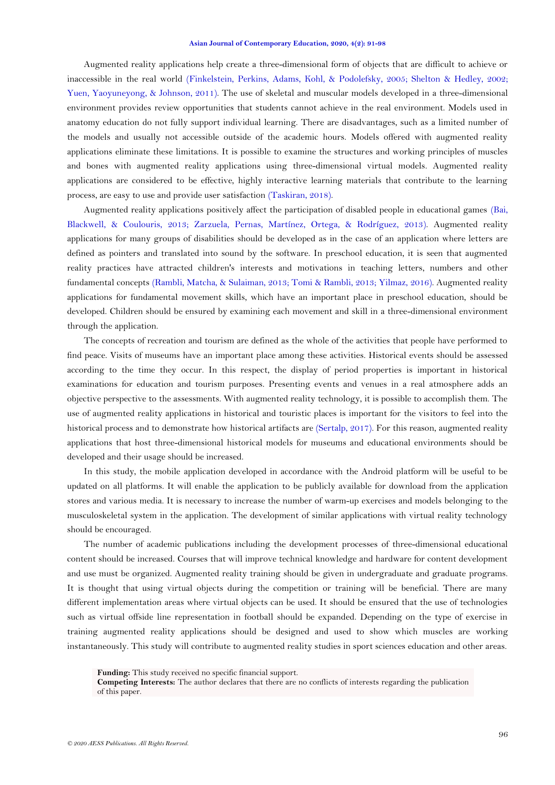<span id="page-5-0"></span>Augmented reality applications help create a three-dimensional form of objects that are difficult to achieve or inaccessible in the real world [\(Finkelstein, Perkins, Adams, Kohl, & Podolefsky, 2005;](#page-6-15) [Shelton & Hedley, 2002;](#page-6-5) [Yuen, Yaoyuneyong, & Johnson, 2011\)](#page-7-2). The use of skeletal and muscular models developed in a three-dimensional environment provides review opportunities that students cannot achieve in the real environment. Models used in anatomy education do not fully support individual learning. There are disadvantages, such as a limited number of the models and usually not accessible outside of the academic hours. Models offered with augmented reality applications eliminate these limitations. It is possible to examine the structures and working principles of muscles and bones with augmented reality applications using three-dimensional virtual models. Augmented reality applications are considered to be effective, highly interactive learning materials that contribute to the learning process, are easy to use and provide user satisfaction [\(Taskiran, 2018\)](#page-7-3).

Augmented reality applications positively affect the participation of disabled people in educational games [\(Bai,](#page-5-0)  [Blackwell, & Coulouris, 2013;](#page-5-0) [Zarzuela, Pernas, Martínez, Ortega, & Rodríguez, 2013\)](#page-7-4). Augmented reality applications for many groups of disabilities should be developed as in the case of an application where letters are defined as pointers and translated into sound by the software. In preschool education, it is seen that augmented reality practices have attracted children's interests and motivations in teaching letters, numbers and other fundamental concepts [\(Rambli, Matcha, & Sulaiman, 2013;](#page-6-5) [Tomi & Rambli, 2013;](#page-7-5) [Yilmaz, 2016\)](#page-7-6). Augmented reality applications for fundamental movement skills, which have an important place in preschool education, should be developed. Children should be ensured by examining each movement and skill in a three-dimensional environment through the application.

The concepts of recreation and tourism are defined as the whole of the activities that people have performed to find peace. Visits of museums have an important place among these activities. Historical events should be assessed according to the time they occur. In this respect, the display of period properties is important in historical examinations for education and tourism purposes. Presenting events and venues in a real atmosphere adds an objective perspective to the assessments. With augmented reality technology, it is possible to accomplish them. The use of augmented reality applications in historical and touristic places is important for the visitors to feel into the historical process and to demonstrate how historical artifacts are [\(Sertalp, 2017\)](#page-6-5). For this reason, augmented reality applications that host three-dimensional historical models for museums and educational environments should be developed and their usage should be increased.

In this study, the mobile application developed in accordance with the Android platform will be useful to be updated on all platforms. It will enable the application to be publicly available for download from the application stores and various media. It is necessary to increase the number of warm-up exercises and models belonging to the musculoskeletal system in the application. The development of similar applications with virtual reality technology should be encouraged.

The number of academic publications including the development processes of three-dimensional educational content should be increased. Courses that will improve technical knowledge and hardware for content development and use must be organized. Augmented reality training should be given in undergraduate and graduate programs. It is thought that using virtual objects during the competition or training will be beneficial. There are many different implementation areas where virtual objects can be used. It should be ensured that the use of technologies such as virtual offside line representation in football should be expanded. Depending on the type of exercise in training augmented reality applications should be designed and used to show which muscles are working instantaneously. This study will contribute to augmented reality studies in sport sciences education and other areas.

**Competing Interests:** The author declares that there are no conflicts of interests regarding the publication of this paper.

**Funding:** This study received no specific financial support.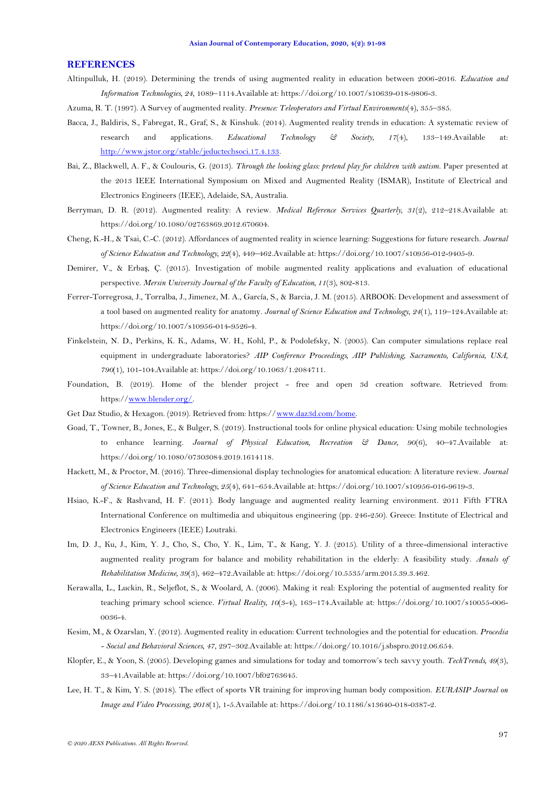#### <span id="page-6-5"></span>**REFERENCES**

- Altinpulluk, H. (2019). Determining the trends of using augmented reality in education between 2006-2016. *Education and Information Technologies, 24*, 1089–1114.Available at: https://doi.org/10.1007/s10639-018-9806-3.
- Azuma, R. T. (1997). A Survey of augmented reality. *Presence: Teleoperators and Virtual Environments*(4), 355–385.
- Bacca, J., Baldiris, S., Fabregat, R., Graf, S., & Kinshuk. (2014). Augmented reality trends in education: A systematic review of research and applications. *Educational Technology & Society, 17*(4), 133–149.Available at: [http://www.jstor.org/stable/jeductechsoci.17.4.133.](http://www.jstor.org/stable/jeductechsoci.17.4.133)
- Bai, Z., Blackwell, A. F., & Coulouris, G. (2013). *Through the looking glass: pretend play for children with autism*. Paper presented at the 2013 IEEE International Symposium on Mixed and Augmented Reality (ISMAR), Institute of Electrical and Electronics Engineers (IEEE), Adelaide, SA, Australia.
- <span id="page-6-2"></span>Berryman, D. R. (2012). Augmented reality: A review. *Medical Reference Services Quarterly, 31*(2), 212–218.Available at: https://doi.org/10.1080/02763869.2012.670604.
- <span id="page-6-8"></span>Cheng, K.-H., & Tsai, C.-C. (2012). Affordances of augmented reality in science learning: Suggestions for future research. *Journal of Science Education and Technology, 22*(4), 449–462.Available at: https://doi.org/10.1007/s10956-012-9405-9.
- <span id="page-6-14"></span>Demirer, V., & Erbaş, Ç. (2015). Investigation of mobile augmented reality applications and evaluation of educational perspective. *Mersin University Journal of the Faculty of Education, 11*(3), 802-813.
- <span id="page-6-4"></span>Ferrer-Torregrosa, J., Torralba, J., Jimenez, M. A., García, S., & Barcia, J. M. (2015). ARBOOK: Development and assessment of a tool based on augmented reality for anatomy. *Journal of Science Education and Technology, 24*(1), 119–124.Available at: https://doi.org/10.1007/s10956-014-9526-4.
- <span id="page-6-15"></span>Finkelstein, N. D., Perkins, K. K., Adams, W. H., Kohl, P., & Podolefsky, N. (2005). Can computer simulations replace real equipment in undergraduate laboratories? *AIP Conference Proceedings, AIP Publishing, Sacramento, California, USA, 790*(1), 101-104.Available at: https://doi.org/10.1063/1.2084711.
- <span id="page-6-10"></span>Foundation, B. (2019). Home of the blender project - free and open 3d creation software. Retrieved from: https:/[/www.blender.org/.](http://www.blender.org/)
- <span id="page-6-9"></span>Get Daz Studio, & Hexagon. (2019). Retrieved from: https:/[/www.daz3d.com/home.](http://www.daz3d.com/home)
- <span id="page-6-13"></span>Goad, T., Towner, B., Jones, E., & Bulger, S. (2019). Instructional tools for online physical education: Using mobile technologies to enhance learning. *Journal of Physical Education, Recreation & Dance, 90*(6), 40–47.Available at: https://doi.org/10.1080/07303084.2019.1614118.
- <span id="page-6-3"></span>Hackett, M., & Proctor, M. (2016). Three-dimensional display technologies for anatomical education: A literature review. *Journal of Science Education and Technology, 25*(4), 641–654.Available at: https://doi.org/10.1007/s10956-016-9619-3.
- <span id="page-6-11"></span>Hsiao, K.-F., & Rashvand, H. F. (2011). Body language and augmented reality learning environment. 2011 Fifth FTRA International Conference on multimedia and ubiquitous engineering (pp. 246-250). Greece: Institute of Electrical and Electronics Engineers (IEEE) Loutraki.
- <span id="page-6-7"></span>Im, D. J., Ku, J., Kim, Y. J., Cho, S., Cho, Y. K., Lim, T., & Kang, Y. J. (2015). Utility of a three-dimensional interactive augmented reality program for balance and mobility rehabilitation in the elderly: A feasibility study. *Annals of Rehabilitation Medicine, 39*(3), 462–472.Available at: https://doi.org/10.5535/arm.2015.39.3.462.
- <span id="page-6-12"></span>Kerawalla, L., Luckin, R., Seljeflot, S., & Woolard, A. (2006). Making it real: Exploring the potential of augmented reality for teaching primary school science. *Virtual Reality, 10*(3-4), 163–174.Available at: https://doi.org/10.1007/s10055-006- 0036-4.
- <span id="page-6-0"></span>Kesim, M., & Ozarslan, Y. (2012). Augmented reality in education: Current technologies and the potential for education. *Procedia - Social and Behavioral Sciences, 47*, 297–302.Available at: https://doi.org/10.1016/j.sbspro.2012.06.654.
- <span id="page-6-1"></span>Klopfer, E., & Yoon, S. (2005). Developing games and simulations for today and tomorrow's tech savvy youth. *TechTrends, 49*(3), 33–41.Available at: https://doi.org/10.1007/bf02763645.
- <span id="page-6-6"></span>Lee, H. T., & Kim, Y. S. (2018). The effect of sports VR training for improving human body composition. *EURASIP Journal on Image and Video Processing, 2018*(1), 1-5.Available at: https://doi.org/10.1186/s13640-018-0387-2.